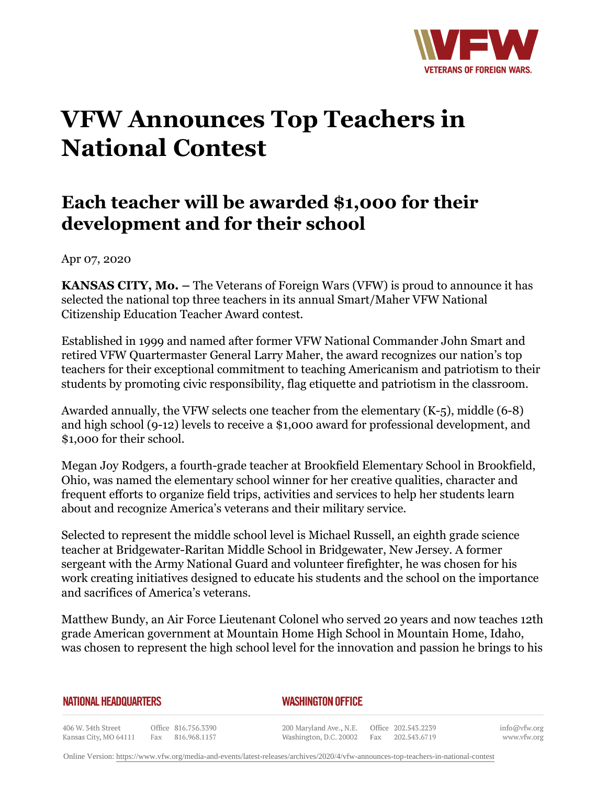

## **VFW Announces Top Teachers in National Contest**

## **Each teacher will be awarded \$1,000 for their development and for their school**

Apr 07, 2020

**KANSAS CITY, Mo. –** The Veterans of Foreign Wars (VFW) is proud to announce it has selected the national top three teachers in its annual Smart/Maher VFW National Citizenship Education Teacher Award contest.

Established in 1999 and named after former VFW National Commander John Smart and retired VFW Quartermaster General Larry Maher, the award recognizes our nation's top teachers for their exceptional commitment to teaching Americanism and patriotism to their students by promoting civic responsibility, flag etiquette and patriotism in the classroom.

Awarded annually, the VFW selects one teacher from the elementary (K-5), middle (6-8) and high school (9-12) levels to receive a \$1,000 award for professional development, and \$1,000 for their school.

Megan Joy Rodgers, a fourth-grade teacher at Brookfield Elementary School in Brookfield, Ohio, was named the elementary school winner for her creative qualities, character and frequent efforts to organize field trips, activities and services to help her students learn about and recognize America's veterans and their military service.

Selected to represent the middle school level is Michael Russell, an eighth grade science teacher at Bridgewater-Raritan Middle School in Bridgewater, New Jersey. A former sergeant with the Army National Guard and volunteer firefighter, he was chosen for his work creating initiatives designed to educate his students and the school on the importance and sacrifices of America's veterans.

Matthew Bundy, an Air Force Lieutenant Colonel who served 20 years and now teaches 12th grade American government at Mountain Home High School in Mountain Home, Idaho, was chosen to represent the high school level for the innovation and passion he brings to his

**NATIONAL HEADQUARTERS** 

*WASHINGTON OFFICE* 

406 W. 34th Street Office 816.756.3390 Fax 816.968.1157 Kansas City, MO 64111

200 Maryland Ave., N.E. Washington, D.C. 20002

Office 202.543.2239 Fax 202.543.6719 info@vfw.org www.vfw.org

Online Version:<https://www.vfw.org/media-and-events/latest-releases/archives/2020/4/vfw-announces-top-teachers-in-national-contest>